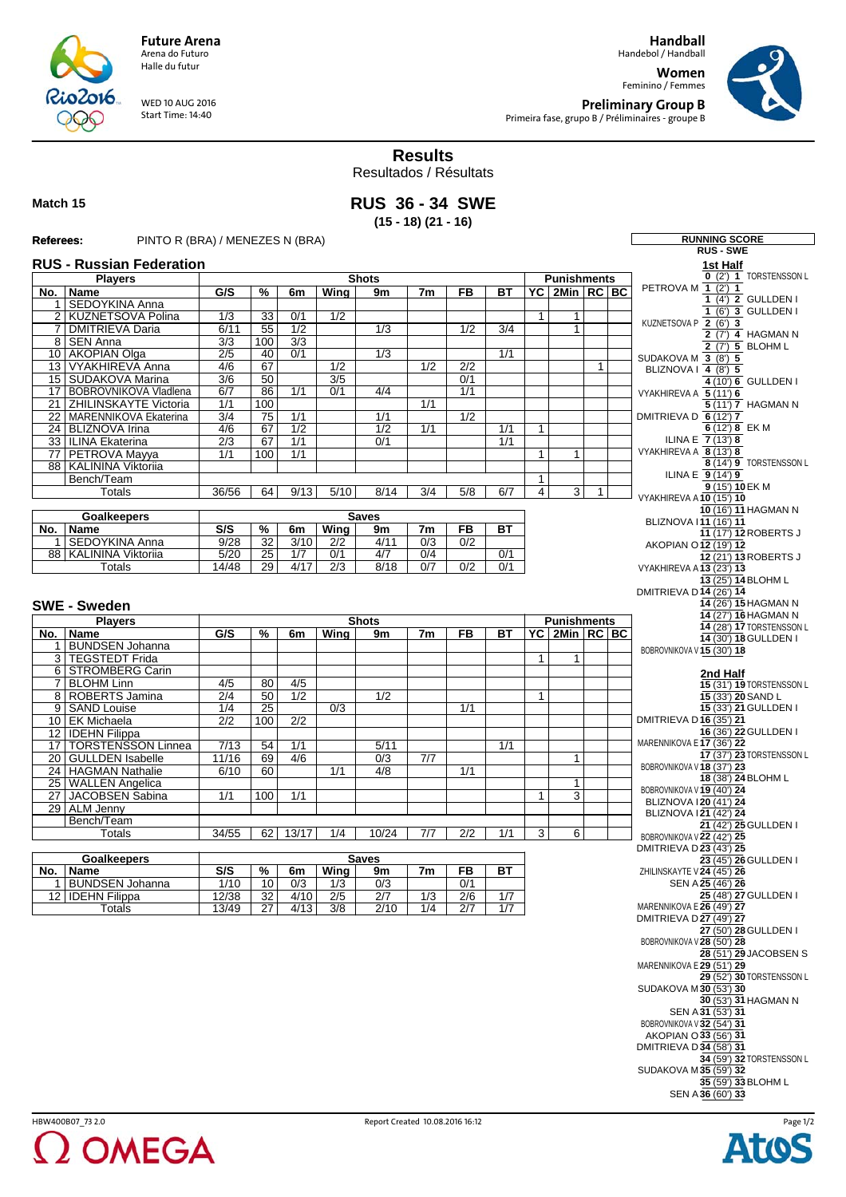**Handball** Handebol / Handball

**Women** Feminino / Femmes



**RUNNING SCORE** 

**Preliminary Group B** Primeira fase, grupo B / Préliminaires - groupe B



Resultados / Résultats

**Match 15**

**RUS 36 - 34 SWE (15 - 18) (21 - 16)**

## **Referees:** PINTO R (BRA) / MENEZES N (BRA)

WED 10 AUG 2016 Start Time: 14:40

**Future Arena** Arena do Futuro Halle du futur

|                                                                                         |                                                       |                  |                     |                  |                  |                  |                |                                   |            |                |                     |              | <b>RUS-SWE</b>                                      |
|-----------------------------------------------------------------------------------------|-------------------------------------------------------|------------------|---------------------|------------------|------------------|------------------|----------------|-----------------------------------|------------|----------------|---------------------|--------------|-----------------------------------------------------|
| <b>RUS - Russian Federation</b><br><b>Players</b><br><b>Shots</b><br><b>Punishments</b> |                                                       |                  |                     |                  |                  |                  |                | 1st Half<br>0 (2) 1 TORSTENSSON L |            |                |                     |              |                                                     |
| No.                                                                                     | Name                                                  | G/S              | %                   | 6m               | Wing             | 9m               | 7 <sub>m</sub> | <b>FB</b>                         | <b>BT</b>  |                | YC   2Min   RC   BC |              | PETROVA M 1 (2') 1                                  |
|                                                                                         | 1 SEDOYKINA Anna                                      |                  |                     |                  |                  |                  |                |                                   |            |                |                     |              | 1 (4') 2 GULLDEN I                                  |
| $\overline{2}$                                                                          | KUZNETSOVA Polina                                     | 1/3              | $\overline{33}$     | 0/1              | $\overline{1/2}$ |                  |                |                                   |            | $\mathbf{1}$   | $\mathbf{1}$        |              | 1 (6') 3 GULLDEN I                                  |
| $\overline{7}$                                                                          | <b>DMITRIEVA Daria</b>                                | 6/11             | 55                  | 1/2              |                  | $\overline{1/3}$ |                | 1/2                               | 3/4        |                | $\mathbf{1}$        |              | KUZNETSOVA P 2 (6') 3                               |
|                                                                                         | 8 SEN Anna                                            | $\overline{3/3}$ | 100                 | $\overline{3/3}$ |                  |                  |                |                                   |            |                |                     |              | 2 (7') 4 HAGMAN N<br>2 (7') 5 BLOHM L               |
|                                                                                         | 10 AKOPIAN Olga                                       | $\overline{2/5}$ | 40                  | 0/1              |                  | $\overline{1/3}$ |                |                                   | 1/1        |                |                     |              | SUDAKOVA M 3 (8') 5                                 |
|                                                                                         | 13 VYAKHIREVA Anna                                    | 4/6              | 67                  |                  | 1/2              |                  | 1/2            | 2/2                               |            |                |                     | $\mathbf{1}$ | BLIZNOVA I 4 (8') 5                                 |
|                                                                                         | 15   SUDAKOVA Marina                                  | $\overline{3/6}$ | 50                  |                  | $\overline{3/5}$ |                  |                | 0/1                               |            |                |                     |              | 4 (10') 6 GULLDEN I                                 |
| 17 <sup>1</sup>                                                                         | <b>BOBROVNIKOVA Vladlena</b>                          | 6/7              | 86                  | 1/1              | 0/1              | 4/4              |                | 1/1                               |            |                |                     |              | VYAKHIREVA A 5 (11') 6                              |
| $\overline{21}$                                                                         | <b>ZHILINSKAYTE Victoria</b><br>MARENNIKOVA Ekaterina | 1/1<br>3/4       | 100<br>75           | 1/1              |                  | 1/1              | 1/1            | 1/2                               |            |                |                     |              | 5 (11') 7 HAGMAN N                                  |
| 22                                                                                      | 24 BLIZNOVA Irina                                     | 4/6              | 67                  | $\overline{1/2}$ |                  | $\overline{1/2}$ | 1/1            |                                   | 1/1        | 1              |                     |              | DMITRIEVA D 6 (12') 7<br>6 (12') 8 EK M             |
|                                                                                         | 33 ILINA Ekaterina                                    | $\overline{2/3}$ | 67                  | 1/1              |                  | 0/1              |                |                                   | 1/1        |                |                     |              | ILINA E $\overline{7(13)}$ 8                        |
|                                                                                         | 77 PETROVA Mayya                                      | 1/1              | 100                 | 1/1              |                  |                  |                |                                   |            | 1              | $\mathbf{1}$        |              | VYAKHIREVA A 8 (13') 8                              |
|                                                                                         | 88   KALININA Viktoriia                               |                  |                     |                  |                  |                  |                |                                   |            |                |                     |              | 8 (14') 9 TORSTENSSON L                             |
|                                                                                         | Bench/Team                                            |                  |                     |                  |                  |                  |                |                                   |            | $\mathbf{1}$   |                     |              | ILINA E 9 (14') 9                                   |
|                                                                                         | Totals                                                | 36/56            | 64                  | 9/13             | 5/10             | 8/14             | 3/4            | 5/8                               | 6/7        | $\overline{4}$ | $\overline{3}$      | 1            | 9 (15') 10 EK M                                     |
|                                                                                         |                                                       |                  |                     |                  |                  |                  |                |                                   |            |                |                     |              | VYAKHIREVA A 10 (15') 10<br>10 (16') 11 HAGMAN N    |
|                                                                                         | <b>Goalkeepers</b>                                    |                  |                     |                  |                  | <b>Saves</b>     |                |                                   |            |                |                     |              | BLIZNOVA 111 (16') 11                               |
| No.                                                                                     | Name                                                  | S/S              | %                   | 6m               | Wing             | 9m               | 7m             | <b>FB</b>                         | <b>BT</b>  |                |                     |              | 11 (17') 12 ROBERTS J                               |
| 1                                                                                       | <b>SEDOYKINA Anna</b>                                 | 9/28             | 32                  | 3/10             | 2/2              | 4/11             | 0/3            | 0/2                               |            |                |                     |              | AKOPIAN O 12 (19') 12                               |
|                                                                                         | 88   KALININA Viktoriia<br>Totals                     | 5/20<br>14/48    | 25<br>29            | 1/7<br>4/17      | 0/1<br>2/3       | 4/7<br>8/18      | 0/4<br>0/7     | 0/2                               | 0/1<br>0/1 |                |                     |              | 12 (21') 13 ROBERTS J                               |
|                                                                                         |                                                       |                  |                     |                  |                  |                  |                |                                   |            |                |                     |              | VYAKHIREVA A 13 (23') 13<br>13 (25') 14 BLOHM L     |
|                                                                                         |                                                       |                  |                     |                  |                  |                  |                |                                   |            |                |                     |              | DMITRIEVA D14 (26') 14                              |
|                                                                                         | <b>SWE - Sweden</b>                                   |                  |                     |                  |                  |                  |                |                                   |            |                |                     |              | 14 (26') 15 HAGMAN N                                |
|                                                                                         | <b>Players</b>                                        |                  |                     |                  |                  | <b>Shots</b>     |                |                                   |            |                | <b>Punishments</b>  |              | 14 (27') 16 HAGMAN N                                |
| No.                                                                                     | Name                                                  | G/S              | %                   | 6m               | Wina             | 9m               | 7m             | <b>FB</b>                         | ВT         |                | YC 2Min RC BC       |              | 14 (28') 17 TORSTENSSON L                           |
|                                                                                         | 1 BUNDSEN Johanna                                     |                  |                     |                  |                  |                  |                |                                   |            |                |                     |              | 14 (30') 18 GULLDEN I                               |
|                                                                                         | 3   TEGSTEDT Frida                                    |                  |                     |                  |                  |                  |                |                                   |            | 1              | $\mathbf{1}$        |              | BOBROVNIKOVA V 15 (30') 18                          |
|                                                                                         | 6 STROMBERG Carin                                     |                  |                     |                  |                  |                  |                |                                   |            |                |                     |              | 2nd Half                                            |
|                                                                                         | 7 BLOHM Linn                                          | 4/5              | 80                  | 4/5              |                  |                  |                |                                   |            |                |                     |              | 15 (31') 19 TORSTENSSON L                           |
|                                                                                         | 8   ROBERTS Jamina                                    | $\overline{2/4}$ | 50                  | 1/2              |                  | 1/2              |                |                                   |            | $\mathbf{1}$   |                     |              | 15 (33') 20 SAND L                                  |
|                                                                                         | 9 SAND Louise                                         | 1/4              | $\overline{25}$     |                  | $\overline{0/3}$ |                  |                | 1/1                               |            |                |                     |              | 15 (33') 21 GULLDEN I                               |
|                                                                                         | 10 EK Michaela                                        | 2/2              | 100                 | 2/2              |                  |                  |                |                                   |            |                |                     |              | DMITRIEVA D16 (35') 21<br>16 (36') 22 GULLDEN I     |
| 17                                                                                      | 12 <b>IDEHN</b> Filippa<br><b>TORSTENSSON Linnea</b>  | 7/13             | 54                  | 1/1              |                  | 5/11             |                |                                   | 1/1        |                |                     |              | MARENNIKOVA E 17 (36') 22                           |
|                                                                                         | 20 GULLDEN Isabelle                                   | 11/16            | 69                  | 4/6              |                  | 0/3              | 7/7            |                                   |            |                | $\mathbf{1}$        |              | 17 (37') 23 TORSTENSSON L                           |
|                                                                                         | 24   HAGMAN Nathalie                                  | 6/10             | 60                  |                  | 1/1              | 4/8              |                | 1/1                               |            |                |                     |              | BOBROVNIKOVA V 18 (37') 23                          |
|                                                                                         | 25 WALLEN Angelica                                    |                  |                     |                  |                  |                  |                |                                   |            |                | $\mathbf{1}$        |              | 18 (38') 24 BLOHM L                                 |
| 27                                                                                      | JACOBSEN Sabina                                       | 1/1              | 100                 | $\overline{1/1}$ |                  |                  |                |                                   |            | 1              | $\overline{3}$      |              | BOBROVNIKOVA V 19 (40') 24                          |
|                                                                                         | 29 ALM Jenny                                          |                  |                     |                  |                  |                  |                |                                   |            |                |                     |              | BLIZNOVA 120 (41') 24<br>BLIZNOVA 121 (42') 24      |
|                                                                                         | Bench/Team                                            |                  |                     |                  |                  |                  |                |                                   |            |                |                     |              | 21 (42') 25 GULLDEN I                               |
|                                                                                         | <b>Totals</b>                                         | 34/55            | 62                  | 13/17            | 1/4              | 10/24            | 7/7            | $\overline{2/2}$                  | 1/1        | 3              | 6                   |              | BOBROVNIKOVA V 22 (42') 25                          |
|                                                                                         |                                                       |                  |                     |                  |                  |                  |                |                                   |            |                |                     |              | DMITRIEVA D 23 (43') 25                             |
|                                                                                         | <b>Goalkeepers</b>                                    |                  |                     |                  |                  | <b>Saves</b>     |                |                                   |            |                |                     |              | 23 (45') 26 GULLDEN I                               |
| No.                                                                                     | Name<br>1 BUNDSEN Johanna                             | S/S<br>1/10      | $\frac{9}{6}$<br>10 | 6m<br>0/3        | Wing<br>1/3      | 9m<br>0/3        | 7 <sub>m</sub> | <b>FB</b><br>0/1                  | <b>BT</b>  |                |                     |              | ZHILINSKAYTE V 24 (45') 26<br>SEN A 25 (46') 26     |
|                                                                                         | 12 <b>IDEHN</b> Filippa                               | 12/38            | 32                  | 4/10             | 2/5              | 2/7              | 1/3            | 2/6                               | 1/7        |                |                     |              | 25 (48') 27 GULLDEN I                               |
|                                                                                         | Totals                                                | 13/49            | 27                  | 4/13             | 3/8              | 2/10             | 1/4            | 2/7                               | 1/7        |                |                     |              | MARENNIKOVA E 26 (49') 27                           |
|                                                                                         |                                                       |                  |                     |                  |                  |                  |                |                                   |            |                |                     |              | DMITRIEVA D27 (49') 27                              |
|                                                                                         |                                                       |                  |                     |                  |                  |                  |                |                                   |            |                |                     |              | 27 (50') 28 GULLDEN I                               |
|                                                                                         |                                                       |                  |                     |                  |                  |                  |                |                                   |            |                |                     |              | BOBROVNIKOVA V 28 (50') 28                          |
|                                                                                         |                                                       |                  |                     |                  |                  |                  |                |                                   |            |                |                     |              | 28 (51') 29 JACOBSEN S<br>MARENNIKOVA E 29 (51') 29 |
|                                                                                         |                                                       |                  |                     |                  |                  |                  |                |                                   |            |                |                     |              | 29 (52') 30 TORSTENSSON L                           |
|                                                                                         |                                                       |                  |                     |                  |                  |                  |                |                                   |            |                |                     |              | SUDAKOVA M30 (53') 30                               |
|                                                                                         |                                                       |                  |                     |                  |                  |                  |                |                                   |            |                |                     |              | 30 (53') 31 HAGMAN N                                |
|                                                                                         |                                                       |                  |                     |                  |                  |                  |                |                                   |            |                |                     |              | SEN A 31 (53') 31                                   |
|                                                                                         |                                                       |                  |                     |                  |                  |                  |                |                                   |            |                |                     |              | BOBROVNIKOVA V32 (54') 31                           |
|                                                                                         |                                                       |                  |                     |                  |                  |                  |                |                                   |            |                |                     |              | AKOPIAN O 33 (56') 31<br>DMITRIEVA D34 (58') 31     |
|                                                                                         |                                                       |                  |                     |                  |                  |                  |                |                                   |            |                |                     |              | 34 (59') 32 TORSTENSSON L                           |
|                                                                                         |                                                       |                  |                     |                  |                  |                  |                |                                   |            |                |                     |              | SUDAKOVA M35 (59') 32                               |
|                                                                                         |                                                       |                  |                     |                  |                  |                  |                |                                   |            |                |                     |              | 35 (59') 33 BLOHM L                                 |
|                                                                                         |                                                       |                  |                     |                  |                  |                  |                |                                   |            |                |                     |              | SEN A 36 (60') 33                                   |



016